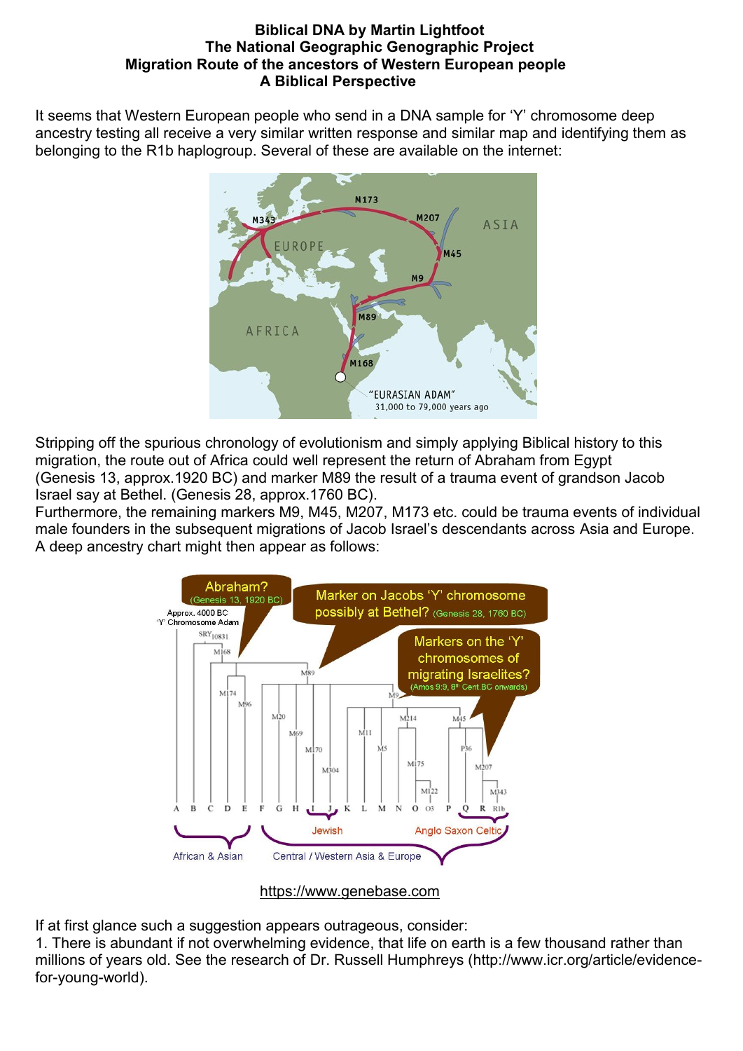## **Biblical DNA by Martin Lightfoot [The National Geographic Genographic Project](https://www3.nationalgeographic.com/genographic/index.html) Migration Route of the ancestors of Western European people A Biblical Perspective**

It seems that Western European people who send in a DNA sample for 'Y' chromosome deep ancestry testing all receive a very similar written response and similar map and identifying them as belonging to the R1b haplogroup. Several of these are available on the internet:



Stripping off the spurious chronology of evolutionism and simply applying Biblical history to this migration, the route out of Africa could well represent the return of Abraham from Egypt (Genesis 13, approx.1920 BC) and marker M89 the result of a trauma event of grandson Jacob Israel say at Bethel. (Genesis 28, approx.1760 BC).

Furthermore, the remaining markers M9, M45, M207, M173 etc. could be trauma events of individual male founders in the subsequent migrations of Jacob Israel's descendants across Asia and Europe. A deep ancestry chart might then appear as follows:



[https://www.genebase.com](https://www.genebase.com/)

If at first glance such a suggestion appears outrageous, consider:

1. There is abundant if not overwhelming evidence, that life on earth is a few thousand rather than millions of years old. See the research of Dr. Russell Humphreys [\(http://www.icr.org/article/evidence](http://www.icr.org/article/evidence-for-young-world)[for-young-world\)](http://www.icr.org/article/evidence-for-young-world).